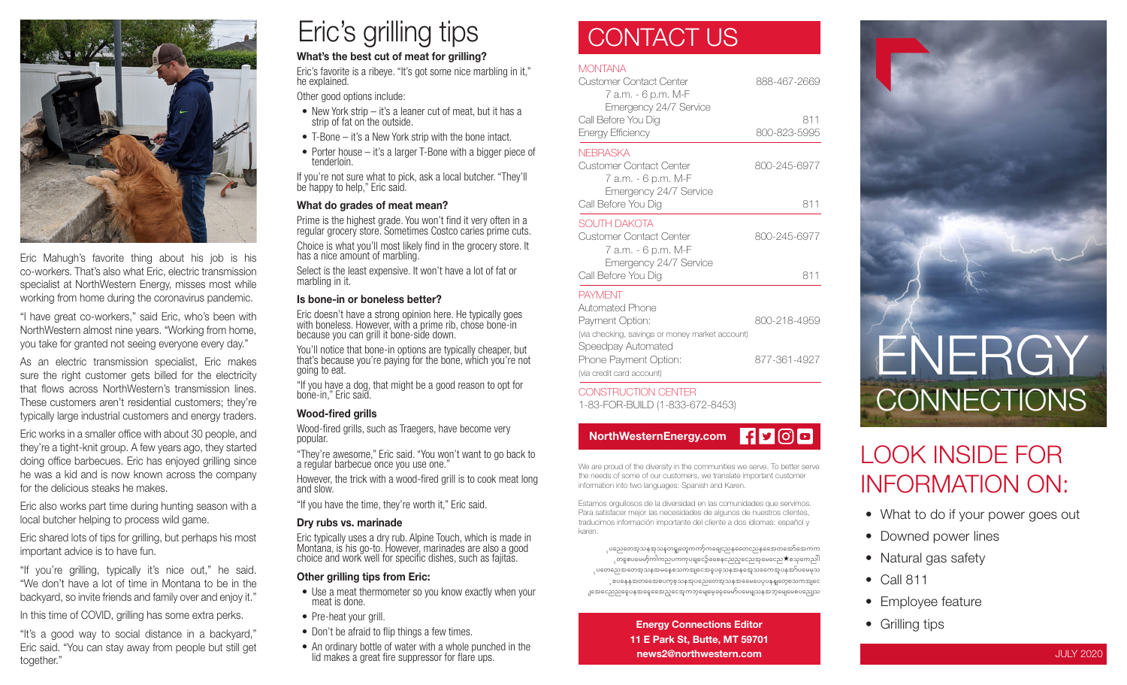

Eric Mahugh's favorite thing about his job is his co‑workers. That's also what Eric, electric transmission specialist at NorthWestern Energy, misses most while working from home during the coronavirus pandemic.

"I have great co-workers," said Eric, who's been with NorthWestern almost nine years. "Working from home, you take for granted not seeing everyone every day."

As an electric transmission specialist, Eric makes sure the right customer gets billed for the electricity that flows across NorthWestern's transmission lines. These customers aren't residential customers; they're typically large industrial customers and energy traders.

Eric works in a smaller office with about 30 people, and they're a tight-knit group. A few years ago, they started doing office barbecues. Eric has enjoyed grilling since he was a kid and is now known across the company for the delicious steaks he makes.

Eric also works part time during hunting season with a local butcher helping to process wild game.

Eric shared lots of tips for grilling, but perhaps his most important advice is to have fun.

"If you're grilling, typically it's nice out," he said. "We don't have a lot of time in Montana to be in the backyard, so invite friends and family over and enjoy it."

In this time of COVID, grilling has some extra perks.

"It's a good way to social distance in a backyard," Eric said. "You can stay away from people but still get together."

# Eric's grilling tips

### What's the best cut of meat for grilling?

Eric's favorite is a ribeye. "It's got some nice marbling in it," he explained.

Other good options include:

- New York strip it's a leaner cut of meat, but it has a strip of fat on the outside.
- T-Bone it's a New York strip with the bone intact.
- Porter house it's a larger T-Bone with a bigger piece of tenderloin.

If you're not sure what to pick, ask a local butcher. "They'll be happy to help," Eric said.

### What do grades of meat mean?

Prime is the highest grade. You won't find it very often in a regular grocery store. Sometimes Costco caries prime cuts.

Choice is what you'll most likely find in the grocery store. It has a nice amount of marbling.

Select is the least expensive. It won't have a lot of fat or marbling in it.

### Is bone-in or boneless better?

Eric doesn't have a strong opinion here. He typically goes with boneless. However, with a prime rib, chose bone-in because you can grill it bone-side down.

You'll notice that bone-in options are typically cheaper, but that's because you're paying for the bone, which you're not going to eat.

"If you have a dog, that might be a good reason to opt for bone-in," Eric said.

### Wood-fired grills

Wood-fired grills, such as Traegers, have become very popular.

"They're awesome," Eric said. "You won't want to go back to a regular barbecue once you use one."

However, the trick with a wood-fired grill is to cook meat long and slow.

"If you have the time, they're worth it," Eric said.

### Dry rubs vs. marinade

Eric typically uses a dry rub. Alpine Touch, which is made in Montana, is his go-to. However, marinades are also a good choice and work well for specific dishes, such as fajitas.

### Other grilling tips from Eric:

- Use a meat thermometer so you know exactly when your meat is done.
- Pre-heat your grill.
- Don't be afraid to flip things a few times.
- An ordinary bottle of water with a whole punched in the lid makes a great fire suppressor for flare ups.

### CONTACT US

### **MONTANA**

| Customer Contact Center<br>7 а.т. - 6 p.m. М-F<br>Emergency 24/7 Service<br>Call Before You Dig<br>Energy Efficiency | 888-467-2669<br>811<br>800-823-5995 |                                                                          |              |
|----------------------------------------------------------------------------------------------------------------------|-------------------------------------|--------------------------------------------------------------------------|--------------|
|                                                                                                                      |                                     | NFBRASKA                                                                 |              |
|                                                                                                                      |                                     | Customer Contact Center<br>7 а.т. - 6 p.m. М-F<br>Emergency 24/7 Service | 800-245-6977 |
| Call Before You Dig                                                                                                  | 811                                 |                                                                          |              |
| SOUTH DAKOTA<br>Customer Contact Center<br>7 а.т. - 6 p.m. М-F<br>Emergency 24/7 Service                             | 800-245-6977                        |                                                                          |              |
| Call Before You Dig                                                                                                  | 811                                 |                                                                          |              |
| <b>PAYMENT</b>                                                                                                       |                                     |                                                                          |              |
| Automated Phone                                                                                                      | 800-218-4959                        |                                                                          |              |
| Payment Option:                                                                                                      |                                     |                                                                          |              |



CONSTRUCTION CENTER 1-83-FOR-BUILD (1-833-672-8453)



We are proud of the diversity in the communities we serve. To better serve the needs of some of our customers, we translate important customer information into two languages: Spanish and Karen.

Estamos orgullosos de la diversidad en las comunidades que servimos. Para satisfacer mejor las necesidades de algunos de nuestros clientes, traducimos información importante del cliente a dos idiomas: español y karen.

ုပညေတေအ့သနအုသနတရူတွေကကာ့်ကရေငညနတေေငညနအေေတအော်အေကက ုတနှစပမေမာ့်ကါကညပကကုပရျငော့်ခစေနှငညည့္ေညအှမေငေည $\bigstar$ စသုကေညါါ ုပတေညေအတေအ့သနအမနေစသကအျငေအဝူပခဲ့သနအနအေ့သရေကအူပနအာ်ပမေမှသ ့စပနေနအတတေောစပက္စစ္သာနအုပညေတေအ့သနအဓေမပေပုပနန္ျတေ့စသကအျငေ .၂အေငြေသည္မွေရေနေနေတာင္ေနေက ဘုံမေျမေ့ခဲ့ေမေမာ္ပါမေမျာသန္ အဘုံမေျမေစပည္သေသ

> Energy Connections Editor 11 E Park St, Butte, MT 59701 news2@northwestern.com



### LOOK INSIDE FOR INFORMATION ON:

- What to do if your power goes out
- Downed power lines
- Natural gas safety
- Call 811
- Employee feature
- Grilling tips